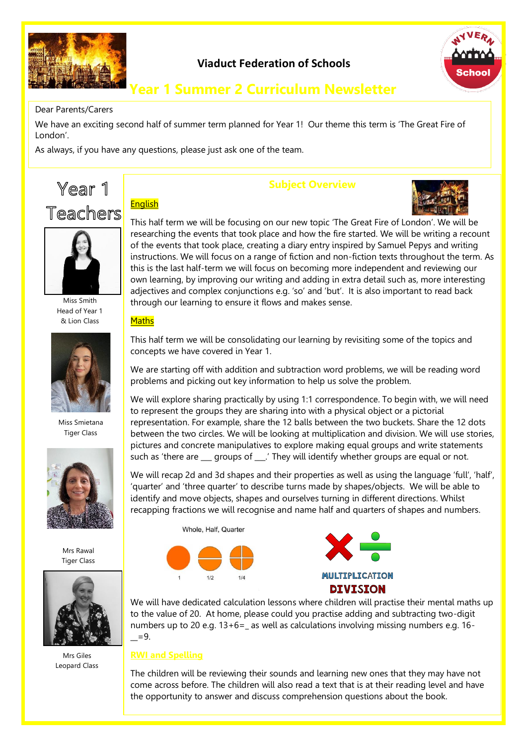

# **Viaduct Federation of Schools**



# **Year 1 Summer 2 Curriculum Newsletter**

#### Dear Parents/Carers

We have an exciting second half of summer term planned for Year 1! Our theme this term is 'The Great Fire of London'.

As always, if you have any questions, please just ask one of the team.





Miss Smith Head of Year 1 & Lion Class



Miss Smietana Tiger Class



Mrs Rawal Tiger Class



Mrs Giles Leopard Class

# **Subject Overview**



This half term we will be focusing on our new topic 'The Great Fire of London'. We will be researching the events that took place and how the fire started. We will be writing a recount of the events that took place, creating a diary entry inspired by Samuel Pepys and writing instructions. We will focus on a range of fiction and non-fiction texts throughout the term. As this is the last half-term we will focus on becoming more independent and reviewing our own learning, by improving our writing and adding in extra detail such as, more interesting adjectives and complex conjunctions e.g. 'so' and 'but'. It is also important to read back through our learning to ensure it flows and makes sense.

#### **Maths**

**English** 

This half term we will be consolidating our learning by revisiting some of the topics and concepts we have covered in Year 1.

We are starting off with addition and subtraction word problems, we will be reading word problems and picking out key information to help us solve the problem.

We will explore sharing practically by using 1:1 correspondence. To begin with, we will need to represent the groups they are sharing into with a physical object or a pictorial representation. For example, share the 12 balls between the two buckets. Share the 12 dots between the two circles. We will be looking at multiplication and division. We will use stories, pictures and concrete manipulatives to explore making equal groups and write statements such as 'there are \_\_\_ groups of \_\_\_.' They will identify whether groups are equal or not.

We will recap 2d and 3d shapes and their properties as well as using the language 'full', 'half', 'quarter' and 'three quarter' to describe turns made by shapes/objects. We will be able to identify and move objects, shapes and ourselves turning in different directions. Whilst recapping fractions we will recognise and name half and quarters of shapes and numbers.





We will have dedicated calculation lessons where children will practise their mental maths up to the value of 20. At home, please could you practise adding and subtracting two-digit numbers up to 20 e.g. 13+6=\_ as well as calculations involving missing numbers e.g. 16-  $=9.$ 

#### **RWI and Spelling**

The children will be reviewing their sounds and learning new ones that they may have not come across before. The children will also read a text that is at their reading level and have the opportunity to answer and discuss comprehension questions about the book.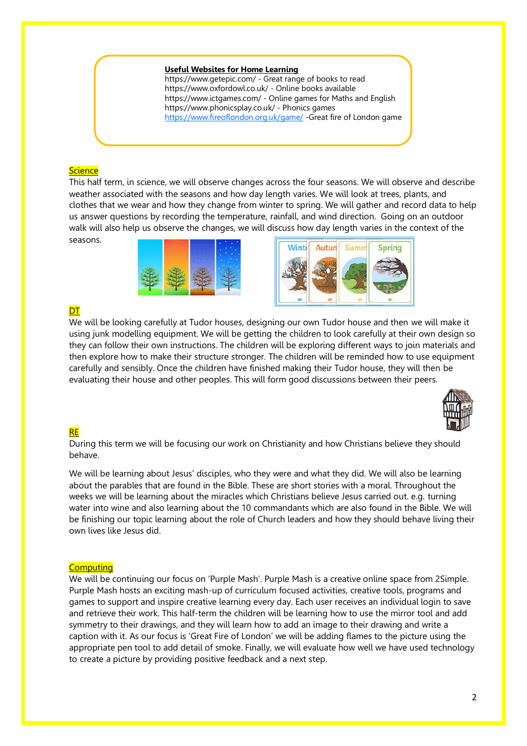#### **Useful Websites for Home Learning**

https://www.getepic.com/ - Great range of books to read https://www.oxfordowl.co.uk/ - Online books available https://www.ictgames.com/ - Online games for Maths and English https://www.phonicsplay.co.uk/ - Phonics games <https://www.fireoflondon.org.uk/game/> -Great fire of London game

#### **Science**

This half term, in science, we will observe changes across the four seasons. We will observe and describe weather associated with the seasons and how day length varies. We will look at trees, plants, and clothes that we wear and how they change from winter to spring. We will gather and record data to help us answer questions by recording the temperature, rainfall, and wind direction. Going on an outdoor walk will also help us observe the changes, we will discuss how day length varies in the context of the seasons.





## **DT**

We will be looking carefully at Tudor houses, designing our own Tudor house and then we will make it using junk modelling equipment. We will be getting the children to look carefully at their own design so they can follow their own instructions. The children will be exploring different ways to join materials and then explore how to make their structure stronger. The children will be reminded how to use equipment carefully and sensibly. Once the children have finished making their Tudor house, they will then be evaluating their house and other peoples. This will form good discussions between their peers.



### **RE**

During this term we will be focusing our work on Christianity and how Christians believe they should behave.

We will be learning about Jesus' disciples, who they were and what they did. We will also be learning about the parables that are found in the Bible. These are short stories with a moral. Throughout the weeks we will be learning about the miracles which Christians believe Jesus carried out. e.g. turning water into wine and also learning about the 10 commandants which are also found in the Bible. We will be finishing our topic learning about the role of Church leaders and how they should behave living their own lives like Jesus did.

#### **Computing**

We will be continuing our focus on 'Purple Mash'. Purple Mash is a creative online space from 2Simple. Purple Mash hosts an exciting mash-up of curriculum focused activities, creative tools, programs and games to support and inspire creative learning every day. Each user receives an individual login to save and retrieve their work. This half-term the children will be learning how to use the mirror tool and add symmetry to their drawings, and they will learn how to add an image to their drawing and write a caption with it. As our focus is 'Great Fire of London' we will be adding flames to the picture using the appropriate pen tool to add detail of smoke. Finally, we will evaluate how well we have used technology to create a picture by providing positive feedback and a next step.